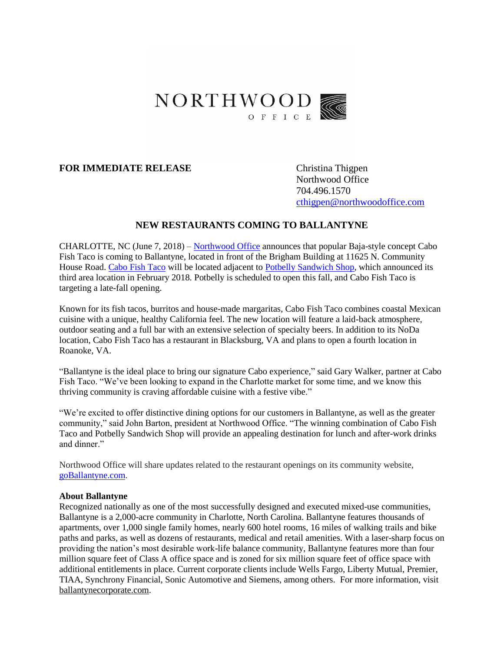

## **FOR IMMEDIATE RELEASE** Christina Thigpen

Northwood Office 704.496.1570 [cthigpen@northwoodoffice.com](mailto:cthigpen@northwoodoffice.com)

## **NEW RESTAURANTS COMING TO BALLANTYNE**

CHARLOTTE, NC (June 7, 2018) – [Northwood Office](http://www.northwoodoffice.com/) announces that popular Baja-style concept Cabo Fish Taco is coming to Ballantyne, located in front of the Brigham Building at 11625 N. Community House Road. [Cabo Fish Taco](http://www.cabofishtaco.com/) will be located adjacent to [Potbelly Sandwich Shop,](https://www.potbelly.com/) which announced its third area location in February 2018. Potbelly is scheduled to open this fall, and Cabo Fish Taco is targeting a late-fall opening.

Known for its fish tacos, burritos and house-made margaritas, Cabo Fish Taco combines coastal Mexican cuisine with a unique, healthy California feel. The new location will feature a laid-back atmosphere, outdoor seating and a full bar with an extensive selection of specialty beers. In addition to its NoDa location, Cabo Fish Taco has a restaurant in Blacksburg, VA and plans to open a fourth location in Roanoke, VA.

"Ballantyne is the ideal place to bring our signature Cabo experience," said Gary Walker, partner at Cabo Fish Taco. "We've been looking to expand in the Charlotte market for some time, and we know this thriving community is craving affordable cuisine with a festive vibe."

"We're excited to offer distinctive dining options for our customers in Ballantyne, as well as the greater community," said John Barton, president at Northwood Office. "The winning combination of Cabo Fish Taco and Potbelly Sandwich Shop will provide an appealing destination for lunch and after-work drinks and dinner."

Northwood Office will share updates related to the restaurant openings on its community website, [goBallantyne.com.](http://www.goballantyne.com/)

## **About Ballantyne**

Recognized nationally as one of the most successfully designed and executed mixed-use communities, Ballantyne is a 2,000-acre community in Charlotte, North Carolina. Ballantyne features thousands of apartments, over 1,000 single family homes, nearly 600 hotel rooms, 16 miles of walking trails and bike paths and parks, as well as dozens of restaurants, medical and retail amenities. With a laser-sharp focus on providing the nation's most desirable work-life balance community, Ballantyne features more than four million square feet of Class A office space and is zoned for six million square feet of office space with additional entitlements in place. Current corporate clients include Wells Fargo, Liberty Mutual, Premier, TIAA, Synchrony Financial, Sonic Automotive and Siemens, among others. For more information, visit [ballantynecorporate.com.](http://www.balllantynecorporate.com/)